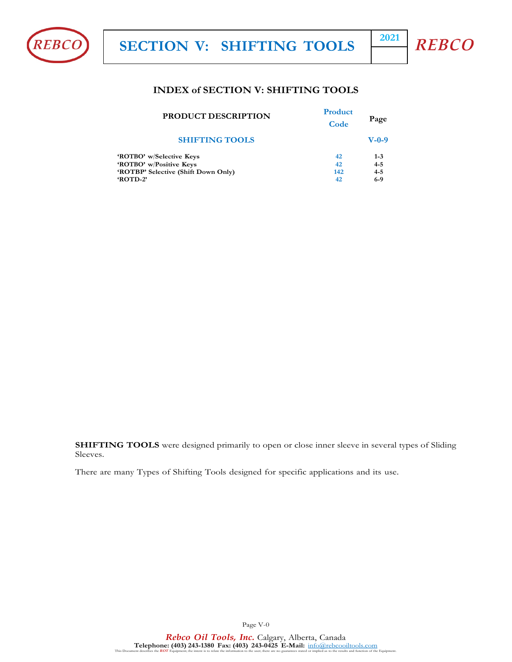



#### **INDEX of SECTION V: SHIFTING TOOLS**

| <b>PRODUCT DESCRIPTION</b>          | <b>Product</b><br>Code | Page    |
|-------------------------------------|------------------------|---------|
| <b>SHIFTING TOOLS</b>               |                        | $V-0-9$ |
| 'ROTBO' w/Selective Keys            | 42                     | $1 - 3$ |
| 'ROTBO' w/Positive Keys             | 42                     | $4 - 5$ |
| 'ROTBP' Selective (Shift Down Only) | 142                    | $4 - 5$ |
| <b>ROTD-2'</b>                      | 42                     | $6-9$   |
|                                     |                        |         |

**SHIFTING TOOLS** were designed primarily to open or close inner sleeve in several types of Sliding Sleeves.

There are many Types of Shifting Tools designed for specific applications and its use.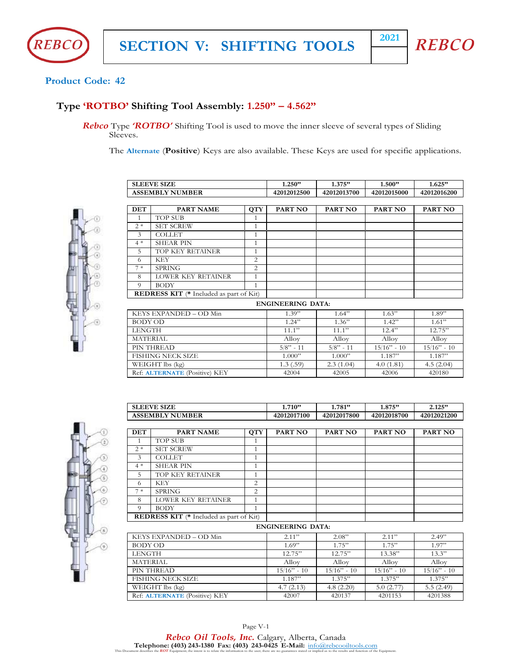



#### **Product Code: 42**

#### **Type 'ROTBO' Shifting Tool Assembly: 1.250" – 4.562"**

*Rebco* Type *'ROTBO'* Shifting Tool is used to move the inner sleeve of several types of Sliding Sleeves.

The **Alternate** (**Positive**) Keys are also available. These Keys are used for specific applications.



|                 | <b>SLEEVE SIZE</b>                      |                | 1.250"                   | 1.375"      | 1.500"        | 1.625"        |
|-----------------|-----------------------------------------|----------------|--------------------------|-------------|---------------|---------------|
|                 | <b>ASSEMBLY NUMBER</b>                  |                | 42012012500              | 42012013700 | 42012015000   | 42012016200   |
|                 |                                         |                |                          |             |               |               |
| <b>DET</b>      | PART NAME                               | QTT            | PART NO                  | PART NO     | PART NO       | PART NO       |
| $\mathbf{1}$    | <b>TOP SUB</b>                          | 1              |                          |             |               |               |
| $2*$            | <b>SET SCREW</b>                        | $\mathbf{1}$   |                          |             |               |               |
| 3               | <b>COLLET</b>                           | 1              |                          |             |               |               |
| $4 *$           | <b>SHEAR PIN</b>                        | $\mathbf{1}$   |                          |             |               |               |
| 5               | TOP KEY RETAINER                        | $\mathbf{1}$   |                          |             |               |               |
| 6               | <b>KEY</b>                              | $\overline{c}$ |                          |             |               |               |
| $7*$            | <b>SPRING</b>                           | $\overline{2}$ |                          |             |               |               |
| 8               | LOWER KEY RETAINER                      | $\mathbf{1}$   |                          |             |               |               |
| $\Omega$        | <b>BODY</b>                             | $\mathbf{1}$   |                          |             |               |               |
|                 | REDRESS KIT (* Included as part of Kit) |                |                          |             |               |               |
|                 |                                         |                | <b>ENGINEERING DATA:</b> |             |               |               |
|                 | KEYS EXPANDED - OD Min                  |                | 1.39"                    | 1.64"       | 1.63"         | 1.89"         |
| <b>BODY OD</b>  |                                         |                | 1.24"                    | 1.36"       | 1.42"         | 1.61"         |
| <b>LENGTH</b>   |                                         |                | 11.1"                    | 11.1"       | 12.4"         | 12.75"        |
| <b>MATERIAL</b> |                                         |                | Alloy                    | Alloy       | Alloy         | Alloy         |
|                 | PIN THREAD                              |                | $5/8" - 11$              | $5/8" - 11$ | $15/16" - 10$ | $15/16" - 10$ |
|                 | <b>FISHING NECK SIZE</b>                |                | 1.000"                   | 1.000"      | 1.187"        | 1.187"        |
|                 | WEIGHT lbs (kg)                         |                | 1.3(.59)                 | 2.3(1.04)   | 4.0(1.81)     | 4.5(2.04)     |
|                 | Ref: ALTERNATE (Positive) KEY           |                | 42004                    | 42005       | 42006         | 420180        |



|                 | <b>SLEEVE SIZE</b>                             |                | 1.710"                   | 1.781"        | 1.875"         | 2.125"        |
|-----------------|------------------------------------------------|----------------|--------------------------|---------------|----------------|---------------|
|                 | <b>ASSEMBLY NUMBER</b>                         |                | 42012017100              | 42012017800   | 42012018700    | 42012021200   |
|                 |                                                |                |                          |               |                |               |
| $DET$           | <b>PART NAME</b>                               | <b>QTY</b>     | <b>PART NO</b>           | PART NO       | <b>PART NO</b> | PART NO       |
| $\overline{1}$  | <b>TOP SUB</b>                                 | $\mathbf{1}$   |                          |               |                |               |
| $2*$            | <b>SET SCREW</b>                               | 1              |                          |               |                |               |
| 3               | <b>COLLET</b>                                  | 1              |                          |               |                |               |
| $4 *$           | <b>SHEAR PIN</b>                               | 1              |                          |               |                |               |
| 5               | TOP KEY RETAINER                               | 1              |                          |               |                |               |
| 6               | <b>KEY</b>                                     | $\overline{2}$ |                          |               |                |               |
| $7*$            | <b>SPRING</b>                                  | $\overline{2}$ |                          |               |                |               |
| 8               | LOWER KEY RETAINER                             | 1              |                          |               |                |               |
| $\overline{Q}$  | <b>BODY</b>                                    | $\mathbf{1}$   |                          |               |                |               |
|                 | <b>REDRESS KIT</b> (* Included as part of Kit) |                |                          |               |                |               |
|                 |                                                |                | <b>ENGINEERING DATA:</b> |               |                |               |
|                 | KEYS EXPANDED - OD Min                         |                | 2.11"                    | 2.08"         | 2.11"          | 2.49"         |
| <b>BODY OD</b>  |                                                |                | 1.69"                    | 1.75"         | 1.75"          | 1.97"         |
| <b>LENGTH</b>   |                                                |                | 12.75"                   | 12.75"        | 13.38"         | 13.3"         |
| <b>MATERIAL</b> |                                                |                | Alloy                    | Alloy         | Alloy          | Alloy         |
|                 | PIN THREAD                                     |                | $15/16" - 10$            | $15/16" - 10$ | $15/16" - 10$  | $15/16" - 10$ |
|                 | FISHING NECK SIZE                              |                | 1.187"                   | 1.375"        | 1.375"         | 1.375"        |
|                 | WEIGHT lbs (kg)                                |                | 4.7(2.13)                | 4.8(2.20)     | 5.0(2.77)      | 5.5(2.49)     |
|                 | Ref: <b>ALTERNATE</b> (Positive) KEY           |                | 42007                    | 420137        | 4201153        | 4201388       |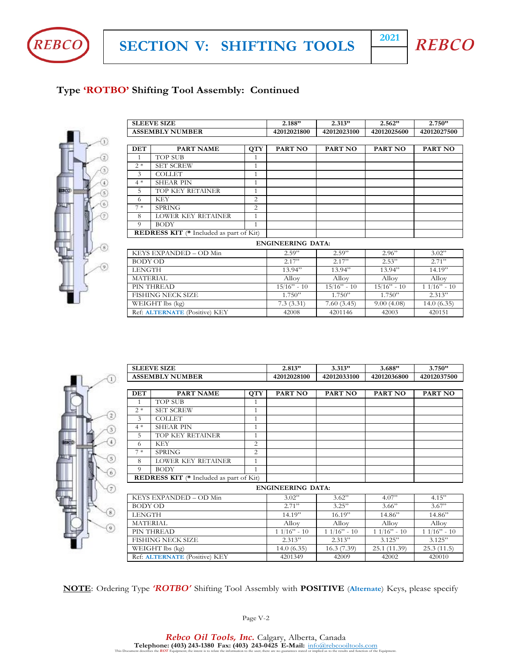



# **Type 'ROTBO' Shifting Tool Assembly: Continued**



|                 | <b>SLEEVE SIZE</b>                             |                  | 2.188"                   | 2.313"        | 2.562"        | 2.750"        |
|-----------------|------------------------------------------------|------------------|--------------------------|---------------|---------------|---------------|
|                 | <b>ASSEMBLY NUMBER</b>                         |                  | 42012021800              | 42012023100   | 42012025600   | 42012027500   |
|                 |                                                |                  |                          |               |               |               |
| <b>DET</b>      | <b>PART NAME</b>                               | $Q\overline{TY}$ | PART NO                  | PART NO       | PART NO       | PART NO       |
| 1               | <b>TOP SUB</b>                                 | 1                |                          |               |               |               |
| $2*$            | <b>SET SCREW</b>                               | 1                |                          |               |               |               |
| 3               | <b>COLLET</b>                                  | 1                |                          |               |               |               |
| $4 *$           | <b>SHEAR PIN</b>                               | 1                |                          |               |               |               |
| 5               | TOP KEY RETAINER                               | $\mathbf{1}$     |                          |               |               |               |
| 6               | <b>KEY</b>                                     | 2                |                          |               |               |               |
| $7*$            | <b>SPRING</b>                                  | 2                |                          |               |               |               |
| 8               | LOWER KEY RETAINER                             | $\mathbf{1}$     |                          |               |               |               |
| 9               | <b>BODY</b>                                    | $\mathbf{1}$     |                          |               |               |               |
|                 | <b>REDRESS KIT</b> (* Included as part of Kit) |                  |                          |               |               |               |
|                 |                                                |                  | <b>ENGINEERING DATA:</b> |               |               |               |
|                 | KEYS EXPANDED - OD Min                         |                  | 2.59"                    | 2.59"         | 2.96"         | 3.02"         |
| <b>BODY OD</b>  |                                                |                  | 2.17"                    | 2.17"         | 2.53"         | 2.71"         |
| <b>LENGTH</b>   |                                                |                  | 13.94"                   | 13.94"        | 13.94"        | 14.19         |
| <b>MATERIAL</b> |                                                |                  | Alloy                    | Alloy         | Alloy         | Alloy         |
|                 | PIN THREAD                                     |                  | $15/16" - 10$            | $15/16" - 10$ | $15/16" - 10$ | $11/16" - 10$ |
|                 | <b>FISHING NECK SIZE</b>                       |                  | 1.750"                   | 1.750"        | 1.750"        | 2.313"        |
|                 | WEIGHT lbs (kg)                                |                  | 7.3(3.31)                | 7.60(3.45)    | 9.00(4.08)    | 14.0(6.35)    |
|                 | Ref: ALTERNATE (Positive) KEY                  |                  | 42008                    | 4201146       | 42003         | 420151        |



|                 | <b>ASSEMBLY NUMBER</b>                         |                  | 42012028100              | 42012033100   | 42012036800   | 42012037500   |
|-----------------|------------------------------------------------|------------------|--------------------------|---------------|---------------|---------------|
|                 |                                                |                  |                          |               |               |               |
| <b>DET</b>      | PART NAME                                      | $Q\overline{TY}$ | PART NO                  | PART NO       | PART NO       | PART NO       |
| $\mathbf{1}$    | <b>TOP SUB</b>                                 | 1                |                          |               |               |               |
| $2*$            | <b>SET SCREW</b>                               | 1                |                          |               |               |               |
| 3               | <b>COLLET</b>                                  | 1                |                          |               |               |               |
| $4 *$           | <b>SHEAR PIN</b>                               | 1                |                          |               |               |               |
| 5               | TOP KEY RETAINER                               | 1                |                          |               |               |               |
| 6               | <b>KEY</b>                                     | $\overline{c}$   |                          |               |               |               |
| $7*$            | <b>SPRING</b>                                  | 2                |                          |               |               |               |
| 8               | <b>LOWER KEY RETAINER</b>                      | 1                |                          |               |               |               |
| 9               | <b>BODY</b>                                    | 1                |                          |               |               |               |
|                 | <b>REDRESS KIT</b> (* Included as part of Kit) |                  |                          |               |               |               |
|                 |                                                |                  | <b>ENGINEERING DATA:</b> |               |               |               |
|                 | KEYS EXPANDED - OD Min                         |                  | 3.02"                    | 3.62"         | 4.07"         | 4.15"         |
| <b>BODY OD</b>  |                                                |                  | 2.71"                    | 3.25"         | 3.66"         | 3.67"         |
| <b>LENGTH</b>   |                                                |                  | 14.19"                   | 16.19"        | 14.86"        | 14.86"        |
| <b>MATERIAL</b> |                                                |                  | Alloy                    | Alloy         | Alloy         | Alloy         |
|                 | PIN THREAD                                     |                  | $11/16" - 10$            | $11/16" - 10$ | $11/16" - 10$ | $11/16" - 10$ |
|                 | <b>FISHING NECK SIZE</b>                       |                  | 2.313"                   | 2.313"        | 3.125"        | 3.125"        |
|                 | WEIGHT lbs (kg)                                |                  | 14.0(6.35)               | 16.3(7.39)    | 25.1 (11.39)  | 25.3(11.5)    |
|                 | Ref: <b>ALTERNATE</b> (Positive) KEY           |                  | 4201349                  | 42009         | 42002         | 420010        |

**SLEEVE SIZE 2.813" 3.313" 3.688" 3.750"**

**NOTE**: Ordering Type *'ROTBO'* Shifting Tool Assembly with **POSITIVE** (**Alternate**) Keys, please specify

Page V-2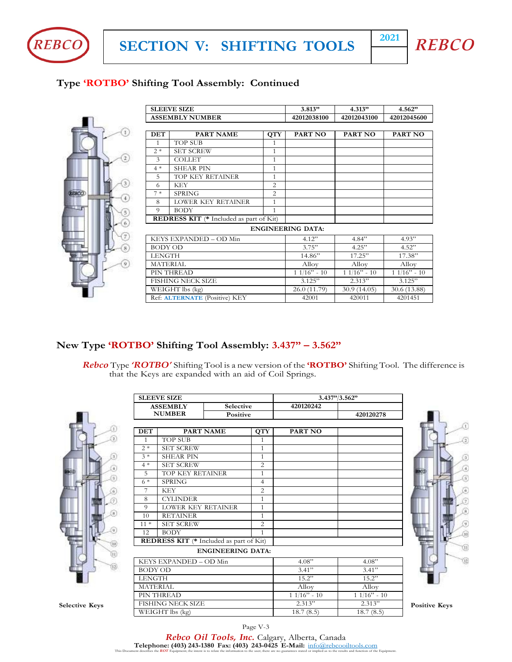



# **Type 'ROTBO' Shifting Tool Assembly: Continued**



|                 | <b>SLEEVE SIZE</b>                             |                | 3.813"                   | 4.313"        | 4.562"        |
|-----------------|------------------------------------------------|----------------|--------------------------|---------------|---------------|
|                 | <b>ASSEMBLY NUMBER</b>                         |                | 42012038100              | 42012043100   | 42012045600   |
|                 |                                                |                |                          |               |               |
| <b>DET</b>      | <b>PART NAME</b>                               | <b>QTY</b>     | PART NO                  | PART NO       | PART NO       |
| $\overline{1}$  | <b>TOP SUB</b>                                 | 1              |                          |               |               |
| $2*$            | <b>SET SCREW</b>                               | $\mathbf{1}$   |                          |               |               |
| $\mathfrak{Z}$  | <b>COLLET</b>                                  | 1              |                          |               |               |
| $4 *$           | <b>SHEAR PIN</b>                               | 1              |                          |               |               |
| 5               | TOP KEY RETAINER                               | $\mathbf{1}$   |                          |               |               |
| 6               | <b>KEY</b>                                     | 2              |                          |               |               |
| $7*$            | <b>SPRING</b>                                  | $\overline{2}$ |                          |               |               |
| 8               | LOWER KEY RETAINER                             | 1              |                          |               |               |
| 9               | <b>BODY</b>                                    | $\mathbf{1}$   |                          |               |               |
|                 | <b>REDRESS KIT</b> (* Included as part of Kit) |                |                          |               |               |
|                 |                                                |                | <b>ENGINEERING DATA:</b> |               |               |
|                 | KEYS EXPANDED - OD Min                         |                | 4.12"                    | 4.84"         | 4.93"         |
| <b>BODY OD</b>  |                                                |                | 3.75"                    | 4.25"         | 4.52"         |
| LENGTH          |                                                |                | 14.86"                   | 17.25"        | 17.38"        |
| <b>MATERIAL</b> |                                                |                | Alloy                    | Alloy         | Alloy         |
|                 | PIN THREAD                                     |                | $11/16" - 10$            | $11/16" - 10$ | $11/16" - 10$ |
|                 | FISHING NECK SIZE                              |                | 3.125"                   | 2.313"        | 3.125"        |
|                 | WEIGHT lbs (kg)                                |                | 26.0 (11.79)             | 30.9(14.05)   | 30.6 (13.88)  |
|                 | Ref: <b>ALTERNATE</b> (Positive) KEY           |                | 42001                    | 420011        | 4201451       |

## **New Type 'ROTBO' Shifting Tool Assembly: 3.437" – 3.562"**

*Rebco* Type *'ROTBO'* Shifting Tool is a new version of the **'ROTBO'** Shifting Tool. The difference is that the Keys are expanded with an aid of Coil Springs.



|                       |                 | <b>SLEEVE SIZE</b>                             |                          |                |               | 3.437" / 3.562" |                      |
|-----------------------|-----------------|------------------------------------------------|--------------------------|----------------|---------------|-----------------|----------------------|
|                       |                 | <b>ASSEMBLY</b>                                | Selective                |                | 420120242     |                 |                      |
|                       |                 | <b>NUMBER</b>                                  | Positive                 |                |               | 420120278       |                      |
|                       |                 |                                                |                          |                |               |                 |                      |
|                       | <b>DET</b>      |                                                | <b>PART NAME</b>         | <b>QTY</b>     | PART NO       |                 |                      |
| Э                     | $\mathbf{1}$    | <b>TOP SUB</b>                                 |                          | $\mathbf{1}$   |               |                 |                      |
|                       | $2*$            | <b>SET SCREW</b>                               |                          | $\mathbf{1}$   |               |                 |                      |
|                       | $3*$            | <b>SHEAR PIN</b>                               |                          | $\mathbf{1}$   |               |                 |                      |
|                       | $4 *$           | <b>SET SCREW</b>                               |                          | $\overline{c}$ |               |                 |                      |
| ίä.                   | 5               | TOP KEY RETAINER                               |                          | $\mathbf{1}$   |               |                 |                      |
|                       | $6*$            | <b>SPRING</b>                                  |                          | $\overline{4}$ |               |                 |                      |
|                       | 7               | <b>KEY</b>                                     |                          | 2              |               |                 |                      |
|                       | 8               | <b>CYLINDER</b>                                |                          | $\mathbf{1}$   |               |                 |                      |
|                       | 9               | LOWER KEY RETAINER                             |                          | $\mathbf{1}$   |               |                 |                      |
| GC.                   | 10              | <b>RETAINER</b>                                |                          | $\mathbf{1}$   |               |                 |                      |
|                       | $11*$           | <b>SET SCREW</b>                               |                          | $\overline{2}$ |               |                 |                      |
| 9                     | 12              | <b>BODY</b>                                    |                          | $\mathbf{1}$   |               |                 |                      |
| Q0)                   |                 | <b>REDRESS KIT</b> (* Included as part of Kit) |                          |                |               |                 |                      |
| (H)                   |                 |                                                | <b>ENGINEERING DATA:</b> |                |               |                 |                      |
|                       |                 | KEYS EXPANDED - OD Min                         |                          |                | 4.08"         | 4.08"           |                      |
| (12)                  | <b>BODY OD</b>  |                                                |                          |                | 3.41"         | 3.41"           |                      |
|                       | <b>LENGTH</b>   |                                                |                          |                | 15.2"         | 15.2"           |                      |
|                       | <b>MATERIAL</b> |                                                |                          |                | Alloy         | Alloy           |                      |
|                       |                 | PIN THREAD                                     |                          |                | $11/16" - 10$ | $11/16" - 10$   |                      |
| <b>Selective Keys</b> |                 | <b>FISHING NECK SIZE</b>                       |                          |                | 2.313"        | 2.313"          | <b>Positive Keys</b> |
|                       |                 | WEIGHT lbs (kg)                                |                          |                | 18.7(8.5)     | 18.7(8.5)       |                      |



Page V-3

*Rebco Oil Tools, Inc.* Calgary, Alberta, Canada **Telephone: (403) 243-1380 Fax: (403) 243-0425 E-Mail:**  $\underline{\inf_{0@\text{re}bcooiltools.com}}$ <br>This Document describes the *ROT* Equipment; the intent is to relate the information to the user; there are no guarantees stated or implied as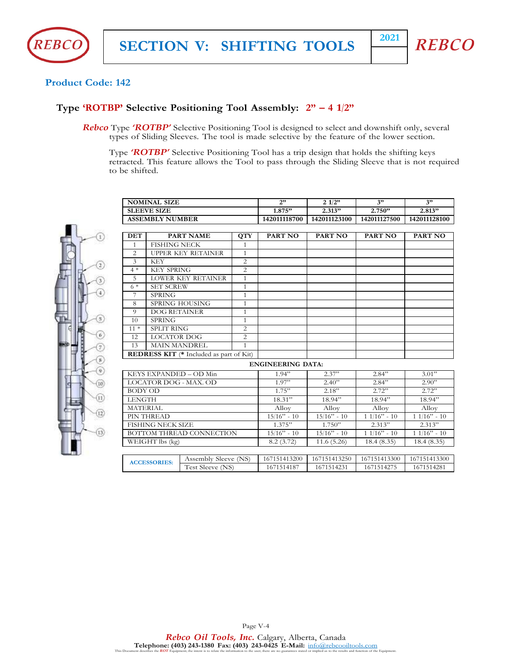



#### **Product Code: 142**

## **Type 'ROTBP' Selective Positioning Tool Assembly: 2" – 4 1/2"**

*Rebco* Type *'ROTBP'* Selective Positioning Tool is designed to select and downshift only, several types of Sliding Sleeves. The tool is made selective by the feature of the lower section.

Type *'ROTBP'* Selective Positioning Tool has a trip design that holds the shifting keys retracted. This feature allows the Tool to pass through the Sliding Sleeve that is not required to be shifted.

| <b>SLEEVE SIZE</b><br>2.313"<br>2.750"<br>2.813"<br>1.875"<br>142011123100<br>142011118700<br>142011127500<br>142011128100<br><b>ASSEMBLY NUMBER</b> | <b>NOMINAL SIZE</b> | $\rightarrow$ | 1/2" | 2" | 2, 2 |
|------------------------------------------------------------------------------------------------------------------------------------------------------|---------------------|---------------|------|----|------|
|                                                                                                                                                      |                     |               |      |    |      |
|                                                                                                                                                      |                     |               |      |    |      |

| $\odot$               |
|-----------------------|
| D)                    |
| 3<br>$^{(4)}$         |
| 5)                    |
| 6)                    |
| 8                     |
| 10)                   |
| $^{\rm (ii)}$<br>(12) |
| (13)                  |

| <b>DET</b>      |                          | <b>PART NAME</b>                               | <b>OTY</b>     | PART NO                  | PART NO       | <b>PART NO</b> | PART NO       |
|-----------------|--------------------------|------------------------------------------------|----------------|--------------------------|---------------|----------------|---------------|
| $\mathbf{1}$    | <b>FISHING NECK</b>      |                                                | 1              |                          |               |                |               |
| $\overline{c}$  |                          | <b>UPPER KEY RETAINER</b>                      | $\mathbf{1}$   |                          |               |                |               |
| $\overline{3}$  | <b>KEY</b>               |                                                | $\overline{c}$ |                          |               |                |               |
| $4 *$           | <b>KEY SPRING</b>        |                                                | $\overline{2}$ |                          |               |                |               |
| 5               |                          | <b>LOWER KEY RETAINER</b>                      | 1              |                          |               |                |               |
| $6*$            | <b>SET SCREW</b>         |                                                | $\mathbf{1}$   |                          |               |                |               |
| 7               | <b>SPRING</b>            |                                                | 1              |                          |               |                |               |
| 8               |                          | <b>SPRING HOUSING</b>                          | 1              |                          |               |                |               |
| 9               | <b>DOG RETAINER</b>      |                                                | $\mathbf{1}$   |                          |               |                |               |
| 10              | <b>SPRING</b>            |                                                | $\mathbf{1}$   |                          |               |                |               |
| $11*$           | <b>SPLIT RING</b>        |                                                | 2              |                          |               |                |               |
| 12              | <b>LOCATOR DOG</b>       |                                                | $\overline{2}$ |                          |               |                |               |
| 13              | <b>MAIN MANDREL</b>      |                                                | 1              |                          |               |                |               |
|                 |                          | <b>REDRESS KIT</b> (* Included as part of Kit) |                |                          |               |                |               |
|                 |                          |                                                |                | <b>ENGINEERING DATA:</b> |               |                |               |
|                 |                          | KEYS EXPANDED - OD Min                         |                | 1.94"                    | 2.37"         | 2.84"          | 3.01          |
|                 |                          | LOCATOR DOG - MAX. OD                          |                | 1.97"                    | 2.40"         | 2.84"          | 2.90"         |
| <b>BODY OD</b>  |                          |                                                |                | 1.75"                    | 2.18"         | 2.72"          | 2.72"         |
| <b>LENGTH</b>   |                          |                                                |                | 18.31"                   | 18.94"        | 18.94"         | 18.94"        |
| <b>MATERIAL</b> |                          |                                                |                | Alloy                    | Alloy         | Alloy          | Alloy         |
|                 | PIN THREAD               |                                                |                | $15/16$ " - 10           | $15/16"$ - 10 | $11/16" - 10$  | $11/16" - 10$ |
|                 | <b>FISHING NECK SIZE</b> |                                                |                | 1.375"                   | 1.750"        | 2.313''        | 2.313"        |
|                 |                          | <b>BOTTOM THREAD CONNECTION</b>                |                | $15/16" - 10$            | $15/16" - 10$ | $11/16" - 10$  | $11/16" - 10$ |
|                 | WEIGHT lbs (kg)          |                                                |                | 8.2(3.72)                | 11.6(5.26)    | 18.4(8.35)     | 18.4(8.35)    |
|                 |                          |                                                |                |                          |               |                |               |
|                 | <b>ACCESSORIES:</b>      | Assembly Sleeve (NS)                           |                | 167151413200             | 167151413250  | 167151413300   | 167151413300  |
|                 |                          | Test Sleeve (NS)                               |                | 1671514187               | 1671514231    | 1671514275     | 1671514281    |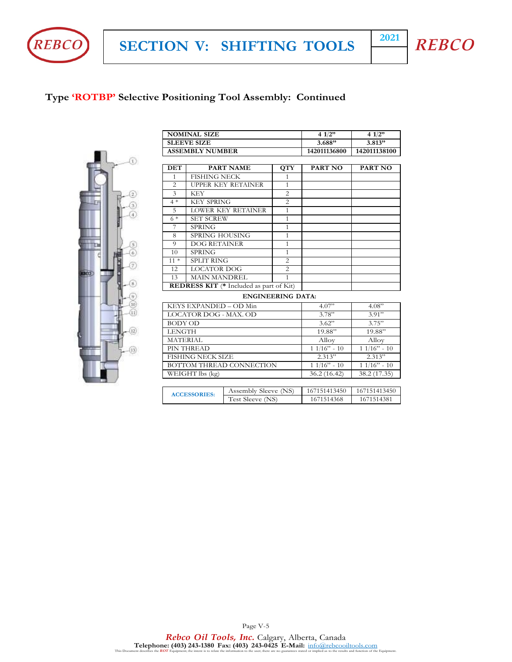

**SECTION V: SHIFTING TOOLS <sup>2021</sup>**



# **Type 'ROTBP' Selective Positioning Tool Assembly: Continued**



|                                                                       | <b>NOMINAL SIZE</b>      |                           |                | 4 $1/2$ "     | 4 $1/2"$      |
|-----------------------------------------------------------------------|--------------------------|---------------------------|----------------|---------------|---------------|
|                                                                       | <b>SLEEVE SIZE</b>       |                           |                | 3.688"        | 3.813"        |
|                                                                       | <b>ASSEMBLY NUMBER</b>   |                           |                | 142011136800  | 142011138100  |
|                                                                       |                          |                           |                |               |               |
| <b>DET</b>                                                            |                          | <b>PART NAME</b>          | <b>QTY</b>     | PART NO       | PART NO       |
| $\mathbf{1}$                                                          | <b>FISHING NECK</b>      |                           | $\mathbf{1}$   |               |               |
| 2                                                                     |                          | <b>UPPER KEY RETAINER</b> | $\mathbf{1}$   |               |               |
| 3                                                                     | <b>KEY</b>               |                           | 2              |               |               |
| $4 *$                                                                 | <b>KEY SPRING</b>        |                           | $\overline{2}$ |               |               |
| 5                                                                     |                          | <b>LOWER KEY RETAINER</b> | $\mathbf{1}$   |               |               |
| $6*$                                                                  | <b>SET SCREW</b>         |                           | $\mathbf{1}$   |               |               |
| 7                                                                     | <b>SPRING</b>            |                           | $\mathbf{1}$   |               |               |
| 8                                                                     | <b>SPRING HOUSING</b>    |                           | $\mathbf{1}$   |               |               |
| 9                                                                     | <b>DOG RETAINER</b>      |                           | $\mathbf{1}$   |               |               |
| 10                                                                    | <b>SPRING</b>            |                           | $\mathbf{1}$   |               |               |
| $11 *$                                                                | <b>SPLIT RING</b>        |                           | 2              |               |               |
| 12                                                                    | <b>LOCATOR DOG</b>       |                           | $\overline{c}$ |               |               |
| 13                                                                    |                          |                           | $\mathbf{1}$   |               |               |
| <b>MAIN MANDREL</b><br><b>REDRESS KIT</b> (* Included as part of Kit) |                          |                           |                |               |               |
|                                                                       |                          | <b>ENGINEERING DATA:</b>  |                |               |               |
|                                                                       | KEYS EXPANDED - OD Min   |                           |                | 4.07"         | 4.08"         |
|                                                                       | LOCATOR DOG - MAX. OD    |                           |                | 3.78"         | 3.91"         |
| <b>BODY OD</b>                                                        |                          |                           |                | 3.62"         | 3.75"         |
| <b>LENGTH</b>                                                         |                          |                           |                | 19.88"        | 19.88"        |
| <b>MATERIAL</b>                                                       |                          |                           |                | Alloy         | Alloy         |
|                                                                       | PIN THREAD               |                           |                | $11/16" - 10$ | $11/16" - 10$ |
|                                                                       | <b>FISHING NECK SIZE</b> |                           |                | 2.313"        | 2.313"        |
|                                                                       |                          | BOTTOM THREAD CONNECTION  |                | $11/16" - 10$ | $11/16" - 10$ |
|                                                                       | WEIGHT lbs (kg)          |                           |                | 36.2 (16.42)  | 38.2 (17.35)  |
|                                                                       |                          |                           |                |               |               |
|                                                                       | <b>ACCESSORIES:</b>      | Assembly Sleeve (NS)      |                | 167151413450  | 167151413450  |
|                                                                       |                          | Test Sleeve (NS)          |                | 1671514368    | 1671514381    |

Page V-5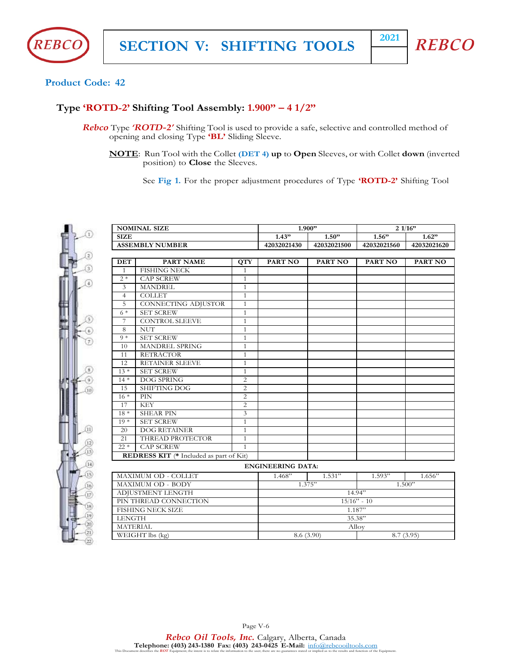



## **Product Code: 42**

## **Type 'ROTD-2' Shifting Tool Assembly: 1.900" – 4 1/2"**

- *Rebco* Type *'ROTD-2'* Shifting Tool is used to provide a safe, selective and controlled method of opening and closing Type **'BL'** Sliding Sleeve.
	- **NOTE**: Run Tool with the Collet **(DET 4) up** to **Open** Sleeves, or with Collet **down** (inverted position) to **Close** the Sleeves.

See **Fig 1.** For the proper adjustment procedures of Type **'ROTD-2'** Shifting Tool

|                 | <b>NOMINAL SIZE</b>                            |                |                          | 1.900"      |             | 21/16"      |  |
|-----------------|------------------------------------------------|----------------|--------------------------|-------------|-------------|-------------|--|
| <b>SIZE</b>     |                                                |                | 1.43"                    | 1.50"       | 1.56"       | 1.62"       |  |
|                 | <b>ASSEMBLY NUMBER</b>                         |                | 42032021430              | 42032021500 | 42032021560 | 42032021620 |  |
| <b>DET</b>      | <b>PART NAME</b>                               | <b>QTY</b>     | PART NO                  | PART NO     | PART NO     | PART NO     |  |
| $\mathbf{1}$    | <b>FISHING NECK</b>                            | $\mathbf{1}$   |                          |             |             |             |  |
| $2 *$           | <b>CAP SCREW</b>                               | $\mathbf{1}$   |                          |             |             |             |  |
| 3               | <b>MANDREL</b>                                 | $\mathbf{1}$   |                          |             |             |             |  |
| $\overline{4}$  | <b>COLLET</b>                                  | $\mathbf{1}$   |                          |             |             |             |  |
| 5               | CONNECTING ADJUSTOR                            | $\mathbf{1}$   |                          |             |             |             |  |
| $6*$            | <b>SET SCREW</b>                               | $\mathbf{1}$   |                          |             |             |             |  |
| $\tau$          | <b>CONTROL SLEEVE</b>                          | $\mathbf{1}$   |                          |             |             |             |  |
| 8               | <b>NUT</b>                                     | $\mathbf{1}$   |                          |             |             |             |  |
| $9 *$           | <b>SET SCREW</b>                               | $\mathbf{1}$   |                          |             |             |             |  |
| 10              | MANDREL SPRING                                 | $\mathbf{1}$   |                          |             |             |             |  |
| 11              | <b>RETRACTOR</b>                               | $\mathbf{1}$   |                          |             |             |             |  |
| 12              | RETAINER SLEEVE                                | $\mathbf{1}$   |                          |             |             |             |  |
| $13*$           | <b>SET SCREW</b>                               | $\mathbf{1}$   |                          |             |             |             |  |
| $14*$           | DOG SPRING                                     | 2              |                          |             |             |             |  |
| 15              | <b>SHIFTING DOG</b>                            | $\overline{c}$ |                          |             |             |             |  |
| $16*$           | PIN                                            | $\overline{2}$ |                          |             |             |             |  |
| 17              | <b>KEY</b>                                     | 2              |                          |             |             |             |  |
| $18*$           | <b>SHEAR PIN</b>                               | 3              |                          |             |             |             |  |
| $19*$           | <b>SET SCREW</b>                               | $\mathbf{1}$   |                          |             |             |             |  |
| 20              | <b>DOG RETAINER</b>                            | $\mathbf{1}$   |                          |             |             |             |  |
| 21              | THREAD PROTECTOR                               | $\mathbf{1}$   |                          |             |             |             |  |
| $22 *$          | <b>CAP SCREW</b>                               | $\mathbf{1}$   |                          |             |             |             |  |
|                 | <b>REDRESS KIT</b> (* Included as part of Kit) |                |                          |             |             |             |  |
|                 |                                                |                | <b>ENGINEERING DATA:</b> |             |             |             |  |
|                 | MAXIMUM OD - COLLET                            |                | 1.468"                   | 1.531"      | 1.593"      | 1.656       |  |
|                 | <b>MAXIMUM OD - BODY</b>                       |                |                          | 1.375"      |             | 1.500"      |  |
|                 | ADJUSTMENT LENGTH                              |                |                          |             | 14.94"      |             |  |
|                 | PIN THREAD CONNECTION                          |                | $15/16" - 10$            |             |             |             |  |
|                 | <b>FISHING NECK SIZE</b>                       |                | 1.187"                   |             |             |             |  |
| <b>LENGTH</b>   |                                                |                | 35.38"                   |             |             |             |  |
| <b>MATERIAL</b> |                                                |                | Alloy                    |             |             |             |  |
|                 | WEIGHT lbs (kg)                                |                | 8.6 (3.90)<br>8.7(3.95)  |             |             |             |  |

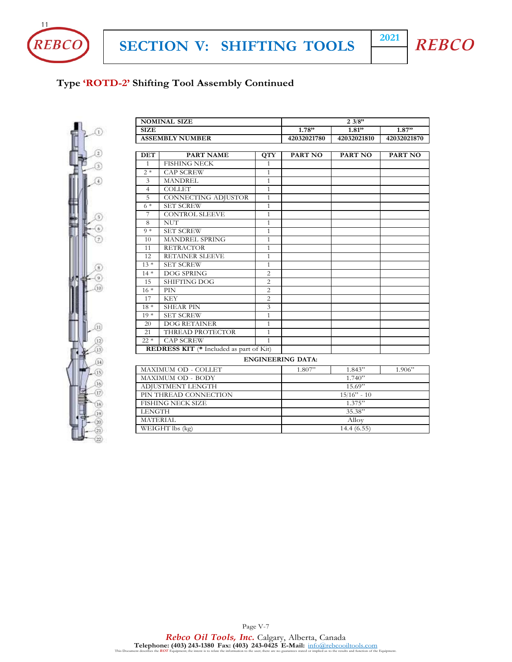



# **Type 'ROTD-2' Shifting Tool Assembly Continued**



| <b>NOMINAL SIZE</b>      |                                                |                | 23/8"                    |                |                |  |
|--------------------------|------------------------------------------------|----------------|--------------------------|----------------|----------------|--|
| <b>SIZE</b>              | 1.78"<br>1.81"                                 |                |                          |                | 1.87"          |  |
| <b>ASSEMBLY NUMBER</b>   |                                                | 42032021780    | 42032021810              | 42032021870    |                |  |
|                          |                                                |                |                          |                |                |  |
| <b>DET</b>               | <b>PART NAME</b>                               | <b>QTY</b>     | <b>PART NO</b>           | <b>PART NO</b> | <b>PART NO</b> |  |
| $\mathbf{1}$             | <b>FISHING NECK</b>                            | $\mathbf{1}$   |                          |                |                |  |
| $2*$                     | <b>CAP SCREW</b>                               | $\mathbf{1}$   |                          |                |                |  |
| 3                        | <b>MANDREL</b>                                 | $\mathbf{1}$   |                          |                |                |  |
| $\overline{4}$           | <b>COLLET</b>                                  | $\mathbf{1}$   |                          |                |                |  |
| 5                        | CONNECTING ADJUSTOR                            | $\mathbf{1}$   |                          |                |                |  |
| $6*$                     | <b>SET SCREW</b>                               | $\mathbf{1}$   |                          |                |                |  |
| 7                        | <b>CONTROL SLEEVE</b>                          | $\mathbf{1}$   |                          |                |                |  |
| 8                        | <b>NUT</b>                                     | $\mathbf{1}$   |                          |                |                |  |
| $9 *$                    | <b>SET SCREW</b>                               | $\mathbf{1}$   |                          |                |                |  |
| 10                       | MANDREL SPRING                                 | $\mathbf{1}$   |                          |                |                |  |
| 11                       | <b>RETRACTOR</b>                               | $\mathbf{1}$   |                          |                |                |  |
| 12                       | RETAINER SLEEVE                                | $\mathbf{1}$   |                          |                |                |  |
| $13*$                    | <b>SET SCREW</b>                               | $\mathbf{1}$   |                          |                |                |  |
| $14*$                    | <b>DOG SPRING</b>                              | $\overline{2}$ |                          |                |                |  |
| 15                       | <b>SHIFTING DOG</b>                            | $\overline{c}$ |                          |                |                |  |
| $16*$                    | PIN                                            | $\overline{2}$ |                          |                |                |  |
| 17                       | <b>KEY</b>                                     | $\overline{2}$ |                          |                |                |  |
| $18*$                    | <b>SHEAR PIN</b>                               | 3              |                          |                |                |  |
| $19*$                    | <b>SET SCREW</b>                               | $\mathbf{1}$   |                          |                |                |  |
| 20                       | <b>DOG RETAINER</b>                            | $\mathbf{1}$   |                          |                |                |  |
| 21                       | THREAD PROTECTOR                               | $\mathbf{1}$   |                          |                |                |  |
| $22 *$                   | <b>CAP SCREW</b>                               | $\mathbf{1}$   |                          |                |                |  |
|                          | <b>REDRESS KIT</b> (* Included as part of Kit) |                |                          |                |                |  |
|                          |                                                |                | <b>ENGINEERING DATA:</b> |                |                |  |
|                          | MAXIMUM OD - COLLET                            |                | 1.807"                   | 1.843"         | 1.906"         |  |
|                          | MAXIMUM OD - BODY                              |                |                          | 1.740"         |                |  |
|                          | ADJUSTMENT LENGTH                              |                |                          | 15.69"         |                |  |
| PIN THREAD CONNECTION    |                                                | $15/16"$ - 10  |                          |                |                |  |
| <b>FISHING NECK SIZE</b> |                                                | 1.375"         |                          |                |                |  |
| <b>LENGTH</b>            |                                                | 35.38"         |                          |                |                |  |
| <b>MATERIAL</b>          |                                                |                | Alloy                    |                |                |  |
| WEIGHT lbs (kg)          |                                                |                | 14.4(6.55)               |                |                |  |

Page V-7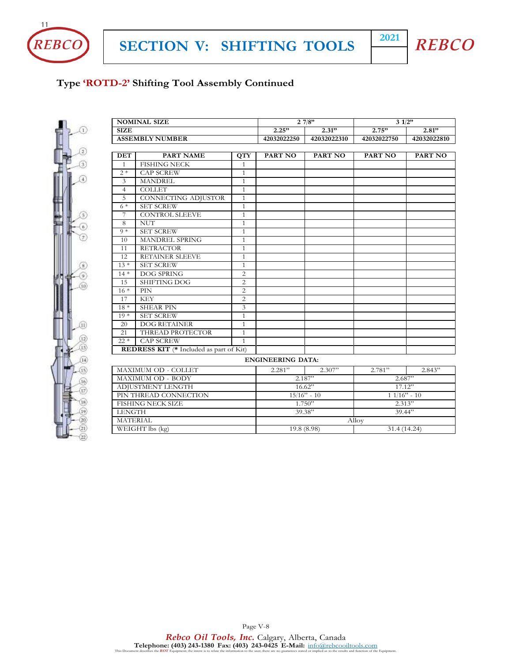



# **Type 'ROTD-2' Shifting Tool Assembly Continued**



| <b>NOMINAL SIZE</b>                            |                        |                | 27/8"         |             | 31/2"         |             |
|------------------------------------------------|------------------------|----------------|---------------|-------------|---------------|-------------|
| <b>SIZE</b>                                    |                        |                | 2.25"         | 2.31"       | 2.75"         | $2.81$ "    |
| <b>ASSEMBLY NUMBER</b>                         |                        |                | 42032022250   | 42032022310 | 42032022750   | 42032022810 |
|                                                |                        |                |               |             |               |             |
| <b>DET</b>                                     | <b>PART NAME</b>       | <b>QTY</b>     | PART NO       | PART NO     | PART NO       | PART NO     |
| $\mathbf{1}$                                   | <b>FISHING NECK</b>    | $\mathbf{1}$   |               |             |               |             |
| $2*$                                           | <b>CAP SCREW</b>       | $\mathbf{1}$   |               |             |               |             |
| 3                                              | <b>MANDREL</b>         | $\mathbf{1}$   |               |             |               |             |
| $\overline{4}$                                 | <b>COLLET</b>          | $\mathbf{1}$   |               |             |               |             |
| 5                                              | CONNECTING ADJUSTOR    | $\mathbf{1}$   |               |             |               |             |
| $6*$                                           | <b>SET SCREW</b>       | $\mathbf{1}$   |               |             |               |             |
| 7                                              | <b>CONTROL SLEEVE</b>  | $\mathbf{1}$   |               |             |               |             |
| 8                                              | <b>NUT</b>             | $\mathbf{1}$   |               |             |               |             |
| $9 *$                                          | <b>SET SCREW</b>       | $\mathbf{1}$   |               |             |               |             |
| 10                                             | MANDREL SPRING         | $\mathbf{1}$   |               |             |               |             |
| 11                                             | <b>RETRACTOR</b>       | $\mathbf{1}$   |               |             |               |             |
| 12                                             | <b>RETAINER SLEEVE</b> | $\mathbf{1}$   |               |             |               |             |
| $13 *$                                         | <b>SET SCREW</b>       | $\mathbf{1}$   |               |             |               |             |
| $14*$                                          | <b>DOG SPRING</b>      | $\overline{c}$ |               |             |               |             |
| 15                                             | <b>SHIFTING DOG</b>    | $\mathbf{2}$   |               |             |               |             |
| $16*$                                          | PIN                    | $\overline{c}$ |               |             |               |             |
| 17                                             | <b>KEY</b>             | $\overline{c}$ |               |             |               |             |
| $18*$                                          | <b>SHEAR PIN</b>       | 3              |               |             |               |             |
| $19*$                                          | <b>SET SCREW</b>       | $\mathbf{1}$   |               |             |               |             |
| 20                                             | <b>DOG RETAINER</b>    | $\mathbf{1}$   |               |             |               |             |
| 21                                             | THREAD PROTECTOR       | $\mathbf{1}$   |               |             |               |             |
| $22 *$                                         | <b>CAP SCREW</b>       | $\mathbf{1}$   |               |             |               |             |
| <b>REDRESS KIT</b> (* Included as part of Kit) |                        |                |               |             |               |             |
| <b>ENGINEERING DATA:</b>                       |                        |                |               |             |               |             |
| MAXIMUM OD - COLLET                            |                        |                | 2.281"        | 2.307"      | 2.781"        | 2.843"      |
| MAXIMUM OD - BODY                              |                        |                | 2.187"        |             | 2.687"        |             |
| ADJUSTMENT LENGTH                              |                        |                | 16.62"        |             | 17.12"        |             |
| PIN THREAD CONNECTION                          |                        |                | $15/16" - 10$ |             | $11/16" - 10$ |             |
| <b>FISHING NECK SIZE</b>                       |                        |                | 1.750"        |             | 2.313"        |             |
| <b>LENGTH</b>                                  |                        |                | 39.38"        |             | 39.44"        |             |

Page V-8

MATERIAL Alloy NEIGHT lbs (kg) 19.8 (8.98)

WEIGHT lbs (kg) 19.8 (8.98) 31.4 (14.24)